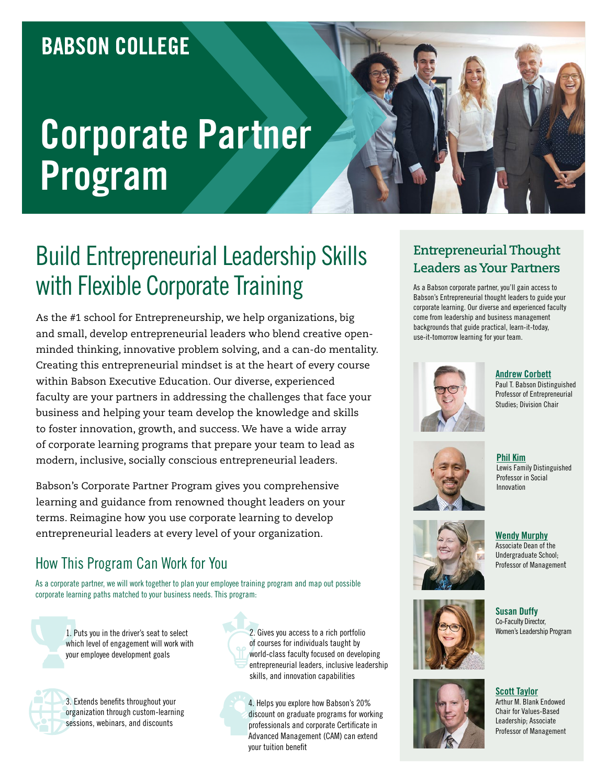### **BABSON COLLEGE**

# **Corporate Partner Program**

## Build Entrepreneurial Leadership Skills with Flexible Corporate Training

As the #1 school for Entrepreneurship, we help organizations, big and small, develop entrepreneurial leaders who blend creative openminded thinking, innovative problem solving, and a can-do mentality. Creating this entrepreneurial mindset is at the heart of every course within Babson Executive Education. Our diverse, experienced faculty are your partners in addressing the challenges that face your business and helping your team develop the knowledge and skills to foster innovation, growth, and success. We have a wide array of corporate learning programs that prepare your team to lead as modern, inclusive, socially conscious entrepreneurial leaders.

Babson's Corporate Partner Program gives you comprehensive learning and guidance from renowned thought leaders on your terms. Reimagine how you use corporate learning to develop entrepreneurial leaders at every level of your organization.

#### How This Program Can Work for You

As a corporate partner, we will work together to plan your employee training program and map out possible corporate learning paths matched to your business needs. This program:

1. Puts you in the driver's seat to select which level of engagement will work with your employee development goals



3. Extends benefits throughout your organization through custom-learning sessions, webinars, and discounts

2. Gives you access to a rich portfolio of courses for individuals taught by world-class faculty focused on developing entrepreneurial leaders, inclusive leadership skills, and innovation capabilities

4. Helps you explore how Babson's 20% discount on graduate programs for working professionals and corporate Certificate in Advanced Management (CAM) can extend your tuition benefit

#### **Entrepreneurial Thought Leaders as Your Partners**

As a Babson corporate partner, you'll gain access to Babson's Entrepreneurial thought leaders to guide your corporate learning. Our diverse and experienced faculty come from leadership and business management backgrounds that guide practical, learn-it-today, use-it-tomorrow learning for your team.



**[Andrew Corbett](https://www.babson.edu/academics/faculty/faculty-profiles/andrew-corbett.php)** Paul T. Babson Distinguished Professor of Entrepreneurial Studies; Division Chair



**[Phil Kim](https://www.babson.edu/academics/faculty/faculty-profiles/phillip-kim.php)** Lewis Family Distinguished Professor in Social Innovation



**[Wendy Murphy](https://www.babson.edu/academics/faculty/faculty-profiles/wendy-murphy.php)** Associate Dean of the Undergraduate School; Professor of Management



**Susan Duffy** Co-Faculty Director,<br>Women's Leadership Program

**[Scott Taylor](https://www.babson.edu/academics/faculty/faculty-profiles/scott-taylor.php)** Arthur M. Blank Endowed Chair for Values-Based Leadership; Associate Professor of Management